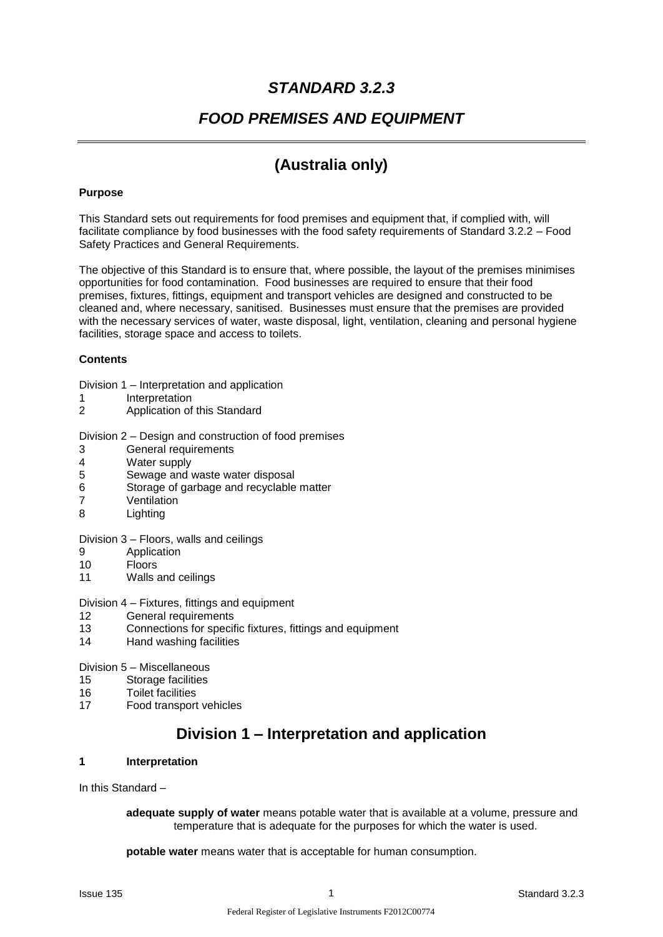# *STANDARD 3.2.3*

## *FOOD PREMISES AND EQUIPMENT*

# **(Australia only)**

### **Purpose**

This Standard sets out requirements for food premises and equipment that, if complied with, will facilitate compliance by food businesses with the food safety requirements of Standard 3.2.2 – Food Safety Practices and General Requirements.

The objective of this Standard is to ensure that, where possible, the layout of the premises minimises opportunities for food contamination. Food businesses are required to ensure that their food premises, fixtures, fittings, equipment and transport vehicles are designed and constructed to be cleaned and, where necessary, sanitised. Businesses must ensure that the premises are provided with the necessary services of water, waste disposal, light, ventilation, cleaning and personal hygiene facilities, storage space and access to toilets.

#### **Contents**

- Division 1 Interpretation and application
- 1 Interpretation
- 2 Application of this Standard

Division 2 – Design and construction of food premises

- 3 General requirements
- 4 Water supply
- 5 Sewage and waste water disposal
- 6 Storage of garbage and recyclable matter
- 7 Ventilation
- 8 Lighting

Division 3 – Floors, walls and ceilings

- 9 Application
- 10 Floors
- 11 Walls and ceilings

#### Division 4 – Fixtures, fittings and equipment

- 12 General requirements
- 13 Connections for specific fixtures, fittings and equipment
- 14 Hand washing facilities

Division 5 – Miscellaneous

- 15 Storage facilities
- 16 Toilet facilities
- 17 Food transport vehicles

# **Division 1 – Interpretation and application**

#### **1 Interpretation**

In this Standard –

**adequate supply of water** means potable water that is available at a volume, pressure and temperature that is adequate for the purposes for which the water is used.

**potable water** means water that is acceptable for human consumption.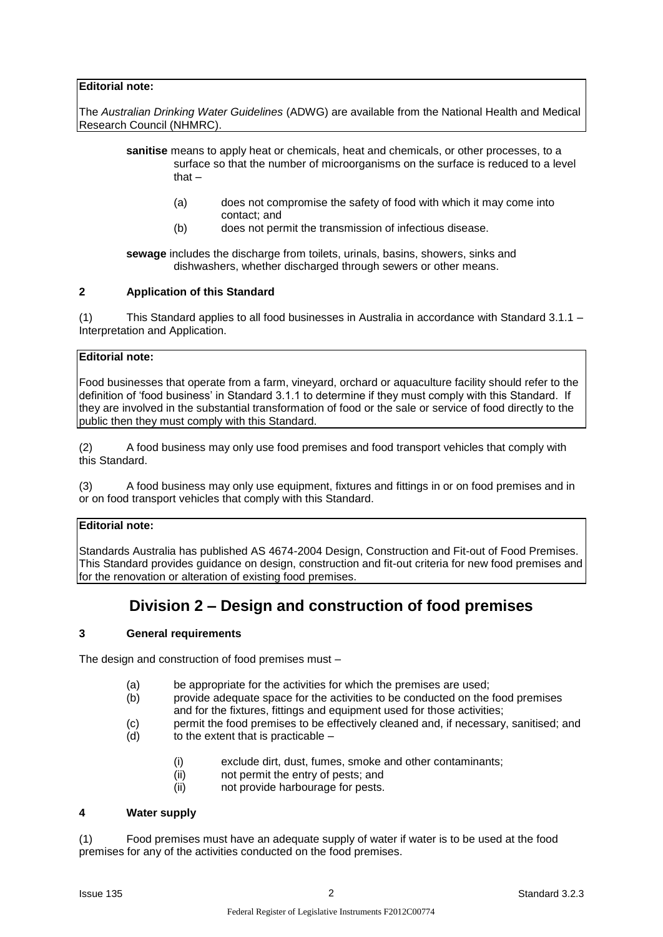## **Editorial note:**

The *Australian Drinking Water Guidelines* (ADWG) are available from the National Health and Medical Research Council (NHMRC).

- **sanitise** means to apply heat or chemicals, heat and chemicals, or other processes, to a surface so that the number of microorganisms on the surface is reduced to a level that –
	- (a) does not compromise the safety of food with which it may come into contact; and
	- (b) does not permit the transmission of infectious disease.

**sewage** includes the discharge from toilets, urinals, basins, showers, sinks and dishwashers, whether discharged through sewers or other means.

#### **2 Application of this Standard**

(1) This Standard applies to all food businesses in Australia in accordance with Standard 3.1.1 – Interpretation and Application.

### **Editorial note:**

Food businesses that operate from a farm, vineyard, orchard or aquaculture facility should refer to the definition of 'food business' in Standard 3.1.1 to determine if they must comply with this Standard. If they are involved in the substantial transformation of food or the sale or service of food directly to the public then they must comply with this Standard.

(2) A food business may only use food premises and food transport vehicles that comply with this Standard.

(3) A food business may only use equipment, fixtures and fittings in or on food premises and in or on food transport vehicles that comply with this Standard.

## **Editorial note:**

Standards Australia has published AS 4674-2004 Design, Construction and Fit-out of Food Premises. This Standard provides guidance on design, construction and fit-out criteria for new food premises and for the renovation or alteration of existing food premises.

## **Division 2 – Design and construction of food premises**

#### **3 General requirements**

The design and construction of food premises must –

- (a) be appropriate for the activities for which the premises are used;
- (b) provide adequate space for the activities to be conducted on the food premises and for the fixtures, fittings and equipment used for those activities;
- (c) permit the food premises to be effectively cleaned and, if necessary, sanitised; and
- $(d)$  to the extent that is practicable  $-$ 
	- (i) exclude dirt, dust, fumes, smoke and other contaminants;
	- (ii) not permit the entry of pests; and
	- (ii) not provide harbourage for pests.

#### **4 Water supply**

(1) Food premises must have an adequate supply of water if water is to be used at the food premises for any of the activities conducted on the food premises.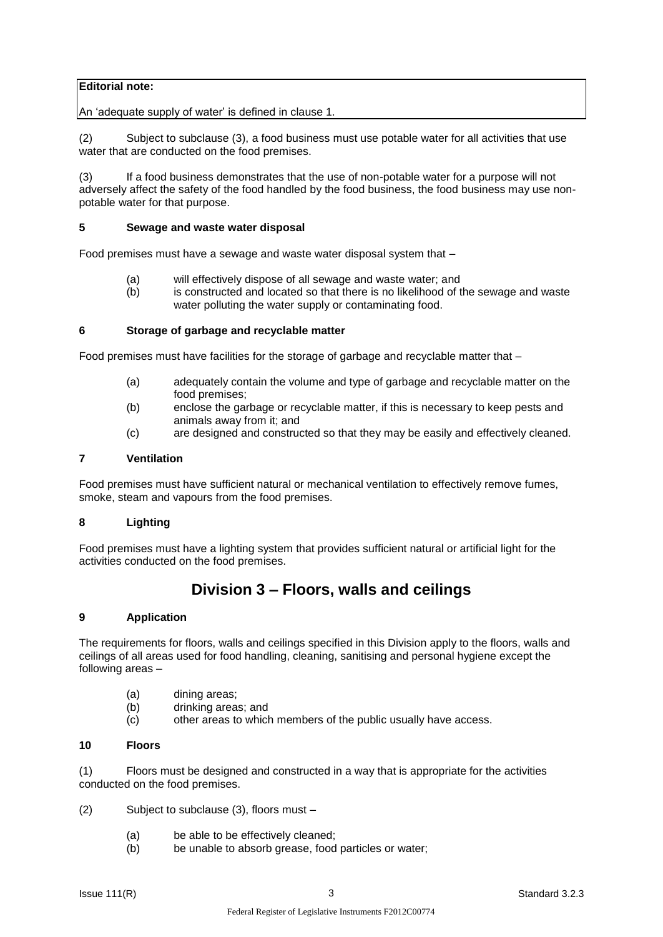## **Editorial note:**

An 'adequate supply of water' is defined in clause 1.

(2) Subject to subclause (3), a food business must use potable water for all activities that use water that are conducted on the food premises.

(3) If a food business demonstrates that the use of non-potable water for a purpose will not adversely affect the safety of the food handled by the food business, the food business may use nonpotable water for that purpose.

#### **5 Sewage and waste water disposal**

Food premises must have a sewage and waste water disposal system that –

- (a) will effectively dispose of all sewage and waste water; and
- (b) is constructed and located so that there is no likelihood of the sewage and waste water polluting the water supply or contaminating food.

#### **6 Storage of garbage and recyclable matter**

Food premises must have facilities for the storage of garbage and recyclable matter that –

- (a) adequately contain the volume and type of garbage and recyclable matter on the food premises;
- (b) enclose the garbage or recyclable matter, if this is necessary to keep pests and animals away from it; and
- (c) are designed and constructed so that they may be easily and effectively cleaned.

#### **7 Ventilation**

Food premises must have sufficient natural or mechanical ventilation to effectively remove fumes, smoke, steam and vapours from the food premises.

## **8 Lighting**

Food premises must have a lighting system that provides sufficient natural or artificial light for the activities conducted on the food premises.

## **Division 3 – Floors, walls and ceilings**

## **9 Application**

The requirements for floors, walls and ceilings specified in this Division apply to the floors, walls and ceilings of all areas used for food handling, cleaning, sanitising and personal hygiene except the following areas –

- (a) dining areas;
- (b) drinking areas; and
- (c) other areas to which members of the public usually have access.

### **10 Floors**

(1) Floors must be designed and constructed in a way that is appropriate for the activities conducted on the food premises.

(2) Subject to subclause (3), floors must –

- (a) be able to be effectively cleaned;
- $(b)$  be unable to absorb grease, food particles or water;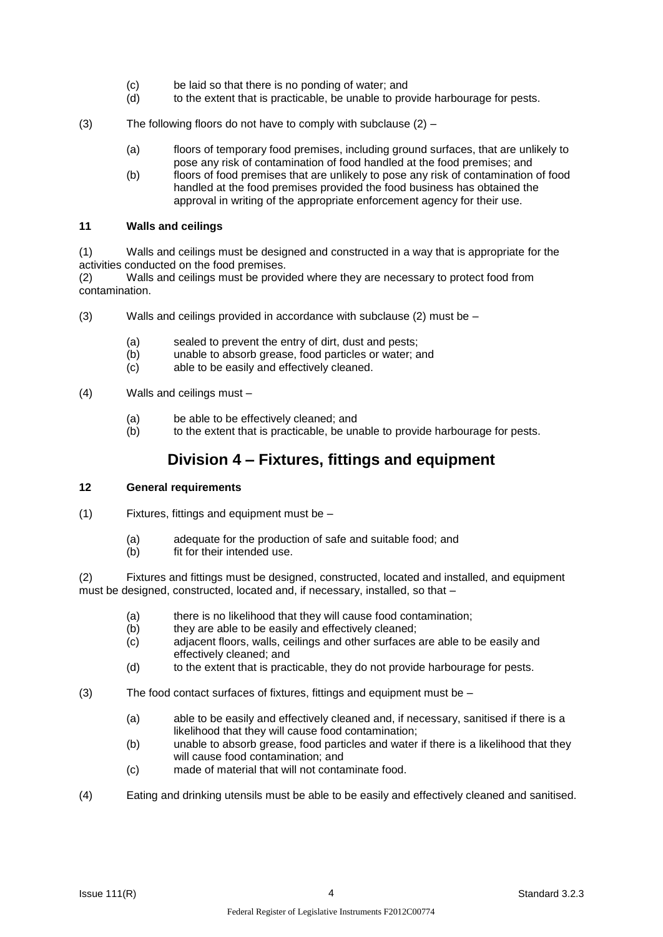- (c) be laid so that there is no ponding of water; and
- (d) to the extent that is practicable, be unable to provide harbourage for pests.
- (3) The following floors do not have to comply with subclause (2)
	- (a) floors of temporary food premises, including ground surfaces, that are unlikely to pose any risk of contamination of food handled at the food premises; and
	- (b) floors of food premises that are unlikely to pose any risk of contamination of food handled at the food premises provided the food business has obtained the approval in writing of the appropriate enforcement agency for their use.

## **11 Walls and ceilings**

(1) Walls and ceilings must be designed and constructed in a way that is appropriate for the activities conducted on the food premises.

(2) Walls and ceilings must be provided where they are necessary to protect food from contamination.

- (3) Walls and ceilings provided in accordance with subclause (2) must be
	- (a) sealed to prevent the entry of dirt, dust and pests;<br>(b) unable to absorb grease, food particles or water; a
	- unable to absorb grease, food particles or water; and
	- (c) able to be easily and effectively cleaned.
- (4) Walls and ceilings must
	- (a) be able to be effectively cleaned; and
	- (b) to the extent that is practicable, be unable to provide harbourage for pests.

## **Division 4 – Fixtures, fittings and equipment**

#### **12 General requirements**

- (1) Fixtures, fittings and equipment must be
	- (a) adequate for the production of safe and suitable food; and
	- (b) fit for their intended use.

(2) Fixtures and fittings must be designed, constructed, located and installed, and equipment must be designed, constructed, located and, if necessary, installed, so that –

- (a) there is no likelihood that they will cause food contamination;
- (b) they are able to be easily and effectively cleaned;
- (c) adjacent floors, walls, ceilings and other surfaces are able to be easily and effectively cleaned; and
- (d) to the extent that is practicable, they do not provide harbourage for pests.
- (3) The food contact surfaces of fixtures, fittings and equipment must be  $-$ 
	- (a) able to be easily and effectively cleaned and, if necessary, sanitised if there is a likelihood that they will cause food contamination;
	- (b) unable to absorb grease, food particles and water if there is a likelihood that they will cause food contamination; and
	- (c) made of material that will not contaminate food.
- (4) Eating and drinking utensils must be able to be easily and effectively cleaned and sanitised.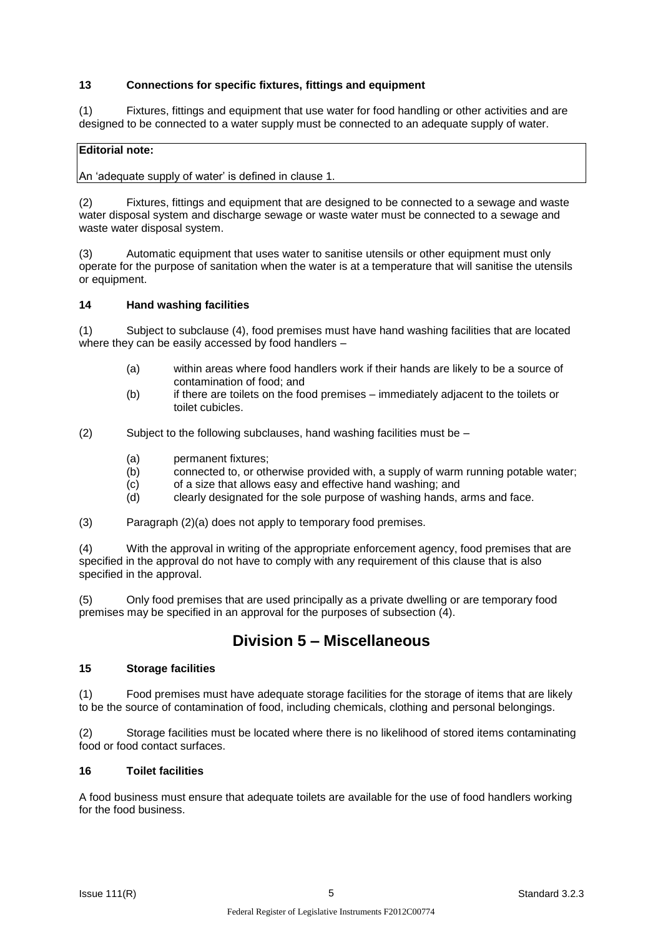## **13 Connections for specific fixtures, fittings and equipment**

(1) Fixtures, fittings and equipment that use water for food handling or other activities and are designed to be connected to a water supply must be connected to an adequate supply of water.

## **Editorial note:**

An 'adequate supply of water' is defined in clause 1.

(2) Fixtures, fittings and equipment that are designed to be connected to a sewage and waste water disposal system and discharge sewage or waste water must be connected to a sewage and waste water disposal system.

(3) Automatic equipment that uses water to sanitise utensils or other equipment must only operate for the purpose of sanitation when the water is at a temperature that will sanitise the utensils or equipment.

#### **14 Hand washing facilities**

(1) Subject to subclause (4), food premises must have hand washing facilities that are located where they can be easily accessed by food handlers -

- (a) within areas where food handlers work if their hands are likely to be a source of contamination of food; and
- (b) if there are toilets on the food premises immediately adjacent to the toilets or toilet cubicles.
- (2) Subject to the following subclauses, hand washing facilities must be
	- (a) permanent fixtures;
	- (b) connected to, or otherwise provided with, a supply of warm running potable water;
	- (c) of a size that allows easy and effective hand washing; and
	- (d) clearly designated for the sole purpose of washing hands, arms and face.

(3) Paragraph (2)(a) does not apply to temporary food premises.

(4) With the approval in writing of the appropriate enforcement agency, food premises that are specified in the approval do not have to comply with any requirement of this clause that is also specified in the approval.

(5) Only food premises that are used principally as a private dwelling or are temporary food premises may be specified in an approval for the purposes of subsection (4).

## **Division 5 – Miscellaneous**

#### **15 Storage facilities**

(1) Food premises must have adequate storage facilities for the storage of items that are likely to be the source of contamination of food, including chemicals, clothing and personal belongings.

(2) Storage facilities must be located where there is no likelihood of stored items contaminating food or food contact surfaces.

#### **16 Toilet facilities**

A food business must ensure that adequate toilets are available for the use of food handlers working for the food business.